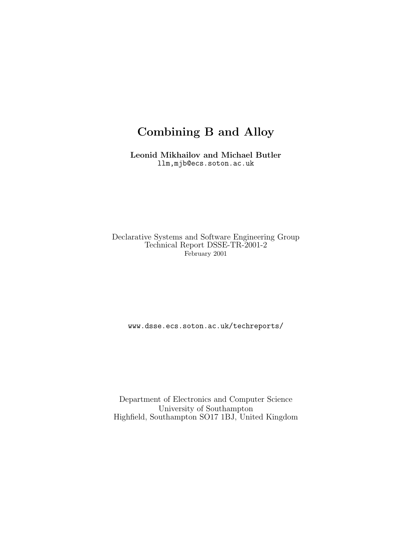# Combining B and Alloy

Leonid Mikhailov and Michael Butler llm,mjb@ecs.soton.ac.uk

Declarative Systems and Software Engineering Group Technical Report DSSE-TR-2001-2 February 2001

www.dsse.ecs.soton.ac.uk/techreports/

Department of Electronics and Computer Science University of Southampton Highfield, Southampton SO17 1BJ, United Kingdom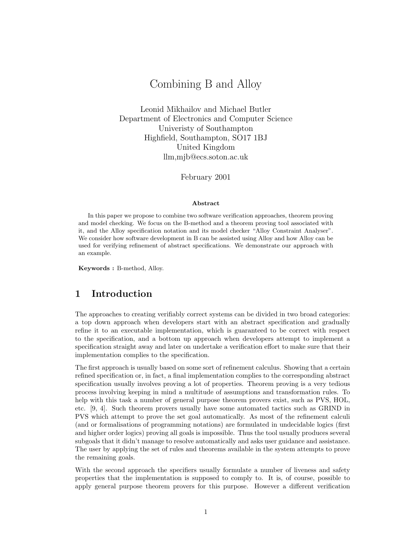## Combining B and Alloy

Leonid Mikhailov and Michael Butler Department of Electronics and Computer Science Univeristy of Southampton Highfield, Southampton, SO17 1BJ United Kingdom llm,mjb@ecs.soton.ac.uk

February 2001

#### Abstract

In this paper we propose to combine two software verification approaches, theorem proving and model checking. We focus on the B-method and a theorem proving tool associated with it, and the Alloy specification notation and its model checker "Alloy Constraint Analyser". We consider how software development in B can be assisted using Alloy and how Alloy can be used for verifying refinement of abstract specifications. We demonstrate our approach with an example.

Keywords : B-method, Alloy.

## 1 Introduction

The approaches to creating verifiably correct systems can be divided in two broad categories: a top down approach when developers start with an abstract specification and gradually refine it to an executable implementation, which is guaranteed to be correct with respect to the specification, and a bottom up approach when developers attempt to implement a specification straight away and later on undertake a verification effort to make sure that their implementation complies to the specification.

The first approach is usually based on some sort of refinement calculus. Showing that a certain refined specification or, in fact, a final implementation complies to the corresponding abstract specification usually involves proving a lot of properties. Theorem proving is a very tedious process involving keeping in mind a multitude of assumptions and transformation rules. To help with this task a number of general purpose theorem provers exist, such as PVS, HOL, etc. [9, 4]. Such theorem provers usually have some automated tactics such as GRIND in PVS which attempt to prove the set goal automatically. As most of the refinement calculi (and or formalisations of programming notations) are formulated in undecidable logics (first and higher order logics) proving all goals is impossible. Thus the tool usually produces several subgoals that it didn't manage to resolve automatically and asks user guidance and assistance. The user by applying the set of rules and theorems available in the system attempts to prove the remaining goals.

With the second approach the specifiers usually formulate a number of liveness and safety properties that the implementation is supposed to comply to. It is, of course, possible to apply general purpose theorem provers for this purpose. However a different verification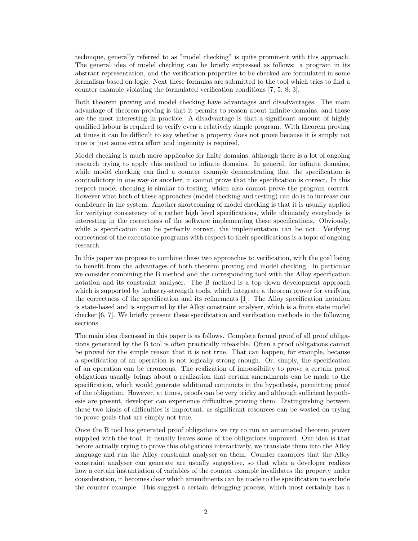technique, generally referred to as "model checking" is quite prominent with this approach. The general idea of model checking can be briefly expressed as follows: a program in its abstract representation, and the verification properties to be checked are formulated in some formalism based on logic. Next these formulas are submitted to the tool which tries to find a counter example violating the formulated verification conditions [7, 5, 8, 3].

Both theorem proving and model checking have advantages and disadvantages. The main advantage of theorem proving is that it permits to reason about infinite domains, and those are the most interesting in practice. A disadvantage is that a significant amount of highly qualified labour is required to verify even a relatively simple program. With theorem proving at times it can be difficult to say whether a property does not prove because it is simply not true or just some extra effort and ingenuity is required.

Model checking is much more applicable for finite domains, although there is a lot of ongoing research trying to apply this method to infinite domains. In general, for infinite domains, while model checking can find a counter example demonstrating that the specification is contradictory in one way or another, it cannot prove that the specification is correct. In this respect model checking is similar to testing, which also cannot prove the program correct. However what both of these approaches (model checking and testing) can do is to increase our confidence in the system. Another shortcoming of model checking is that it is usually applied for verifying consistency of a rather high level specifications, while ultimately everybody is interesting in the correctness of the software implementing these specifications. Obviously, while a specification can be perfectly correct, the implementation can be not. Verifying correctness of the executable programs with respect to their specifications is a topic of ongoing research.

In this paper we propose to combine these two approaches to verification, with the goal being to benefit from the advantages of both theorem proving and model checking. In particular we consider combining the B method and the corresponding tool with the Alloy specification notation and its constraint analyser. The B method is a top down development approach which is supported by industry-strength tools, which integrate a theorem prover for verifying the correctness of the specification and its refinements [1]. The Alloy specification notation is state-based and is supported by the Alloy constraint analyser, which is a finite state model checker [6, 7]. We briefly present these specification and verification methods in the following sections.

The main idea discussed in this paper is as follows. Complete formal proof of all proof obligations generated by the B tool is often practically infeasible. Often a proof obligations cannot be proved for the simple reason that it is not true. That can happen, for example, because a specification of an operation is not logically strong enough. Or, simply, the specification of an operation can be erroneous. The realization of impossibility to prove a certain proof obligations usually brings about a realization that certain amendments can be made to the specification, which would generate additional conjuncts in the hypothesis, permitting proof of the obligation. However, at times, proofs can be very tricky and although sufficient hypothesis are present, developer can experience difficulties proving them. Distinguishing between these two kinds of difficulties is important, as significant resources can be wasted on trying to prove goals that are simply not true.

Once the B tool has generated proof obligations we try to run an automated theorem prover supplied with the tool. It usually leaves some of the obligations unproved. Our idea is that before actually trying to prove this obligations interactively, we translate them into the Alloy language and run the Alloy constraint analyser on them. Counter examples that the Alloy constraint analyser can generate are usually suggestive, so that when a developer realizes how a certain instantiation of variables of the counter example invalidates the property under consideration, it becomes clear which amendments can be made to the specification to exclude the counter example. This suggest a certain debugging process, which most certainly has a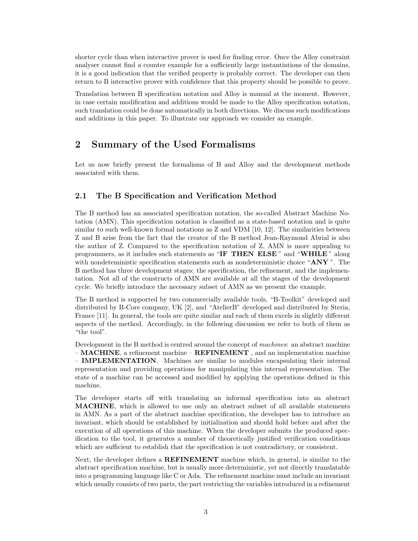shorter cycle than when interactive prover is used for finding error. Once the Alloy constraint analyser cannot find a counter example for a sufficiently large instantiations of the domains, it is a good indication that the verified property is probably correct. The developer can then return to B interactive prover with confidence that this property should be possible to prove.

Translation between B specification notation and Alloy is manual at the moment. However, in case certain modification and additions would be made to the Alloy specification notation, such translation could be done automatically in both directions. We discuss such modifications and additions in this paper. To illustrate our approach we consider an example.

## 2 Summary of the Used Formalisms

Let us now briefly present the formalisms of B and Alloy and the development methods associated with them.

#### 2.1 The B Specification and Verification Method

The B method has an associated specification notation, the so-called Abstract Machine Notation (AMN). This specification notation is classified as a state-based notation and is quite similar to such well-known formal notations as Z and VDM [10, 12]. The similarities between Z and B arise from the fact that the creator of the B method Jean-Raymond Abrial is also the author of Z. Compared to the specification notation of Z, AMN is more appealing to programmers, as it includes such statements as "IF THEN ELSE" and "WHILE" along with nondeteministic specification statements such as nondeterministic choice " $\mathbf{ANY}$ ". The B method has three development stages: the specification, the refinement, and the implementation. Not all of the constructs of AMN are available at all the stages of the development cycle. We briefly introduce the necessary subset of AMN as we present the example.

The B method is supported by two commercially available tools, "B-Toolkit" developed and distributed by B-Core company, UK [2], and "AtelierB" developed and distributed by Steria, France [11]. In general, the tools are quite similar and each of them excels in slightly different aspects of the method. Accordingly, in the following discussion we refer to both of them as "the tool".

Development in the B method is centred around the concept of machines: an abstract machine  $-$  **MACHINE**, a refinement machine  $-$  **REFINEMENT**, and an implementation machine – **IMPLEMENTATION**. Machines are similar to modules encapsulating their internal representation and providing operations for manipulating this internal representation. The state of a machine can be accessed and modified by applying the operations defined in this machine.

The developer starts off with translating an informal specification into an abstract MACHINE, which is allowed to use only an abstract subset of all available statements in AMN. As a part of the abstract machine specification, the developer has to introduce an invariant, which should be established by initialization and should hold before and after the execution of all operations of this machine. When the developer submits the produced specification to the tool, it generates a number of theoretically justified verification conditions which are sufficient to establish that the specification is not contradictory, or consistent.

Next, the developer defines a **REFINEMENT** machine which, in general, is similar to the abstract specification machine, but is usually more deterministic, yet not directly translatable into a programming language like C or Ada. The refinement machine must include an invariant which usually consists of two parts, the part restricting the variables introduced in a refinement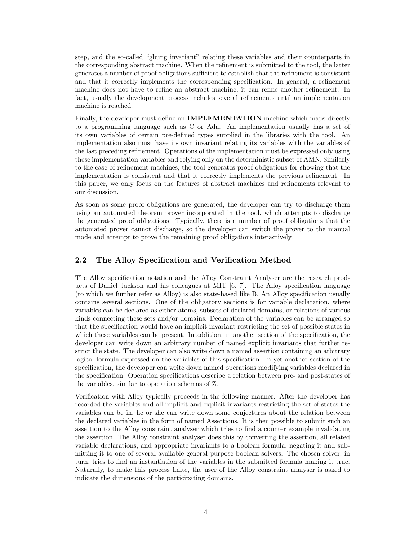step, and the so-called "gluing invariant" relating these variables and their counterparts in the corresponding abstract machine. When the refinement is submitted to the tool, the latter generates a number of proof obligations sufficient to establish that the refinement is consistent and that it correctly implements the corresponding specification. In general, a refinement machine does not have to refine an abstract machine, it can refine another refinement. In fact, usually the development process includes several refinements until an implementation machine is reached.

Finally, the developer must define an **IMPLEMENTATION** machine which maps directly to a programming language such as C or Ada. An implementation usually has a set of its own variables of certain pre-defined types supplied in the libraries with the tool. An implementation also must have its own invariant relating its variables with the variables of the last preceding refinement. Operations of the implementation must be expressed only using these implementation variables and relying only on the deterministic subset of AMN. Similarly to the case of refinement machines, the tool generates proof obligations for showing that the implementation is consistent and that it correctly implements the previous refinement. In this paper, we only focus on the features of abstract machines and refinements relevant to our discussion.

As soon as some proof obligations are generated, the developer can try to discharge them using an automated theorem prover incorporated in the tool, which attempts to discharge the generated proof obligations. Typically, there is a number of proof obligations that the automated prover cannot discharge, so the developer can switch the prover to the manual mode and attempt to prove the remaining proof obligations interactively.

#### 2.2 The Alloy Specification and Verification Method

The Alloy specification notation and the Alloy Constraint Analyser are the research products of Daniel Jackson and his colleagues at MIT [6, 7]. The Alloy specification language (to which we further refer as Alloy) is also state-based like B. An Alloy specification usually contains several sections. One of the obligatory sections is for variable declaration, where variables can be declared as either atoms, subsets of declared domains, or relations of various kinds connecting these sets and/or domains. Declaration of the variables can be arranged so that the specification would have an implicit invariant restricting the set of possible states in which these variables can be present. In addition, in another section of the specification, the developer can write down an arbitrary number of named explicit invariants that further restrict the state. The developer can also write down a named assertion containing an arbitrary logical formula expressed on the variables of this specification. In yet another section of the specification, the developer can write down named operations modifying variables declared in the specification. Operation specifications describe a relation between pre- and post-states of the variables, similar to operation schemas of Z.

Verification with Alloy typically proceeds in the following manner. After the developer has recorded the variables and all implicit and explicit invariants restricting the set of states the variables can be in, he or she can write down some conjectures about the relation between the declared variables in the form of named Assertions. It is then possible to submit such an assertion to the Alloy constraint analyser which tries to find a counter example invalidating the assertion. The Alloy constraint analyser does this by converting the assertion, all related variable declarations, and appropriate invariants to a boolean formula, negating it and submitting it to one of several available general purpose boolean solvers. The chosen solver, in turn, tries to find an instantiation of the variables in the submitted formula making it true. Naturally, to make this process finite, the user of the Alloy constraint analyser is asked to indicate the dimensions of the participating domains.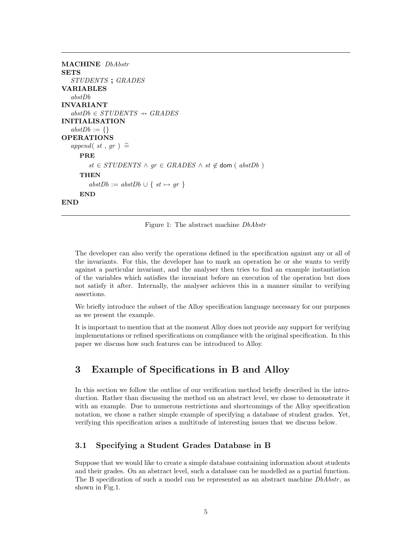```
MACHINE DbAbstr
SETS
   STUDENTS ; GRADES
VARIABLES
   abstDb
INVARIANT
   abstDb \in STUDENTS \rightarrow GRADESINITIALISATION
   abstDb := \{\}OPERATIONS
   append(st, gr) \widehat{=}PRE
        st ∈ STUDENTS \land gr ∈ GRADES \land st ∉ dom ( abstDb)
     THEN
        abstDb := abstDb \cup \{ st \mapsto qr \}END
END
```
Figure 1: The abstract machine DbAbstr

The developer can also verify the operations defined in the specification against any or all of the invariants. For this, the developer has to mark an operation he or she wants to verify against a particular invariant, and the analyser then tries to find an example instantiation of the variables which satisfies the invariant before an execution of the operation but does not satisfy it after. Internally, the analyser achieves this in a manner similar to verifying assertions.

We briefly introduce the subset of the Alloy specification language necessary for our purposes as we present the example.

It is important to mention that at the moment Alloy does not provide any support for verifying implementations or refined specifications on compliance with the original specification. In this paper we discuss how such features can be introduced to Alloy.

## 3 Example of Specifications in B and Alloy

In this section we follow the outline of our verification method briefly described in the introduction. Rather than discussing the method on an abstract level, we chose to demonstrate it with an example. Due to numerous restrictions and shortcomings of the Alloy specification notation, we chose a rather simple example of specifying a database of student grades. Yet, verifying this specification arises a multitude of interesting issues that we discuss below.

#### 3.1 Specifying a Student Grades Database in B

Suppose that we would like to create a simple database containing information about students and their grades. On an abstract level, such a database can be modelled as a partial function. The B specification of such a model can be represented as an abstract machine *DbAbstr*, as shown in Fig.1.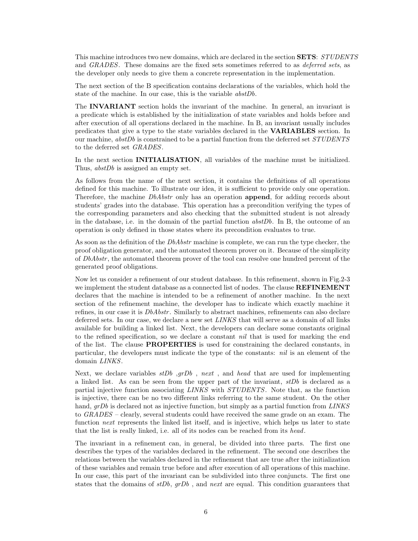This machine introduces two new domains, which are declared in the section **SETS**: STUDENTS and GRADES. These domains are the fixed sets sometimes referred to as *deferred sets*, as the developer only needs to give them a concrete representation in the implementation.

The next section of the B specification contains declarations of the variables, which hold the state of the machine. In our case, this is the variable  $abstDb$ .

The INVARIANT section holds the invariant of the machine. In general, an invariant is a predicate which is established by the initialization of state variables and holds before and after execution of all operations declared in the machine. In B, an invariant usually includes predicates that give a type to the state variables declared in the VARIABLES section. In our machine, abstDb is constrained to be a partial function from the deferred set  $STUDENTS$ to the deferred set GRADES.

In the next section **INITIALISATION**, all variables of the machine must be initialized. Thus, *abstDb* is assigned an empty set.

As follows from the name of the next section, it contains the definitions of all operations defined for this machine. To illustrate our idea, it is sufficient to provide only one operation. Therefore, the machine *DbAbstr* only has an operation **append**, for adding records about students' grades into the database. This operation has a precondition verifying the types of the corresponding parameters and also checking that the submitted student is not already in the database, i.e. in the domain of the partial function  $abstDb$ . In B, the outcome of an operation is only defined in those states where its precondition evaluates to true.

As soon as the definition of the  $DbAbstr$  machine is complete, we can run the type checker, the proof obligation generator, and the automated theorem prover on it. Because of the simplicity of DbAbstr, the automated theorem prover of the tool can resolve one hundred percent of the generated proof obligations.

Now let us consider a refinement of our student database. In this refinement, shown in Fig.2-3 we implement the student database as a connected list of nodes. The clause **REFINEMENT** declares that the machine is intended to be a refinement of another machine. In the next section of the refinement machine, the developer has to indicate which exactly machine it refines, in our case it is  $DbAbstr$ . Similarly to abstract machines, refinements can also declare deferred sets. In our case, we declare a new set  $\textit{LINKS}$  that will serve as a domain of all links available for building a linked list. Next, the developers can declare some constants original to the refined specification, so we declare a constant *nil* that is used for marking the end of the list. The clause **PROPERTIES** is used for constraining the declared constants, in particular, the developers must indicate the type of the constants: nil is an element of the domain LINKS.

Next, we declare variables  $stDb$ ,  $grDb$ , next, and head that are used for implementing a linked list. As can be seen from the upper part of the invariant,  $stDb$  is declared as a partial injective function associating LINKS with STUDENTS. Note that, as the function is injective, there can be no two different links referring to the same student. On the other hand, grDb is declared not as injective function, but simply as a partial function from LINKS to GRADES – clearly, several students could have received the same grade on an exam. The function *next* represents the linked list itself, and is injective, which helps us later to state that the list is really linked, i.e. all of its nodes can be reached from its head.

The invariant in a refinement can, in general, be divided into three parts. The first one describes the types of the variables declared in the refinement. The second one describes the relations between the variables declared in the refinement that are true after the initialization of these variables and remain true before and after execution of all operations of this machine. In our case, this part of the invariant can be subdivided into three conjuncts. The first one states that the domains of  $stDb$ ,  $grDb$ , and next are equal. This condition guarantees that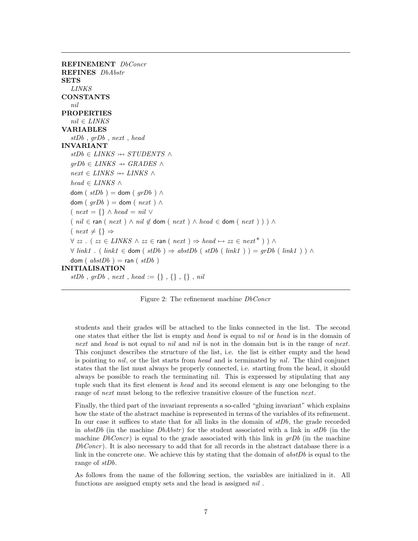```
REFINEMENT DbConcr
REFINES DbAbstr
SETS
    LINKS
CONSTANTS
    nil
PROPERTIES
   nil ∈ LINKS
VARIABLES
    stDb, grDb, next, headINVARIANT
    stDb \in LINKS \rightarrow \textit{STUDENTS} \wedgeqrDb \in LINKS \rightarrow GRADES \wedgenext \in LINKS \rightarrow LINKS \landhead \in LINKS \wedgedom ( stDb ) = dom ( qrDb ) \wedgedom ( grDb ) = dom ( next ) \wedge\{ \text{next} = \{\} \wedge \text{head} = \text{nil} \vee( nil \in \text{ran} (next) \wedge nil \notin \text{dom} (next) \wedge head \in \text{dom} (next) ) \wedge \wedge(\text{next} \neq \{\} \Rightarrow\forall zz. (zz \in LINKS \land zz \in \text{ran} (next) \Rightarrow head \mapsto zz \in next^*)) \land\forall link1 . ( link1 ∈ dom ( stDb ) \Rightarrow abstDb ( stDb ( link1 ) ) = grDb ( link1 ) ) \landdom ( abstDb ) = ran ( stDb )
INITIALISATION
   stDb, grDb, next, head := \{\}, \{\}, \{\}, \ nil
```
Figure 2: The refinement machine DbConcr

students and their grades will be attached to the links connected in the list. The second one states that either the list is empty and head is equal to nil or head is in the domain of next and head is not equal to nil and nil is not in the domain but is in the range of next. This conjunct describes the structure of the list, i.e. the list is either empty and the head is pointing to *nil*, or the list starts from *head* and is terminated by *nil*. The third conjunct states that the list must always be properly connected, i.e. starting from the head, it should always be possible to reach the terminating nil. This is expressed by stipulating that any tuple such that its first element is *head* and its second element is any one belonging to the range of next must belong to the reflexive transitive closure of the function next.

Finally, the third part of the invariant represents a so-called "gluing invariant" which explains how the state of the abstract machine is represented in terms of the variables of its refinement. In our case it suffices to state that for all links in the domain of  $\operatorname{stDb}$ , the grade recorded in abstDb (in the machine  $DbAbstr$ ) for the student associated with a link in stDb (in the machine  $DbConcr$ ) is equal to the grade associated with this link in grDb (in the machine  $DbConcr$ ). It is also necessary to add that for all records in the abstract database there is a link in the concrete one. We achieve this by stating that the domain of  $abstDb$  is equal to the range of  $stDb$ .

As follows from the name of the following section, the variables are initialized in it. All functions are assigned empty sets and the head is assigned *nil*.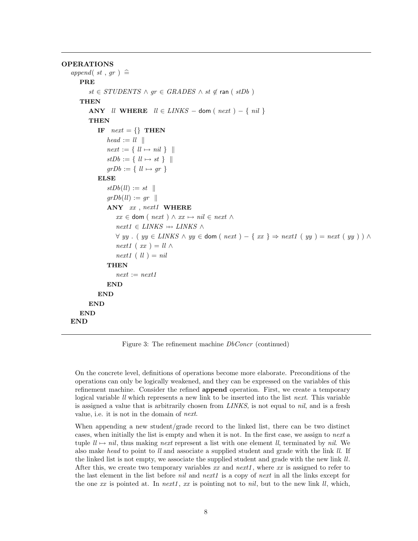#### OPERATIONS

```
append(st, gr) \widehat{=}PRE
       st \in STUDENTS \wedge gr \in GRADES \wedge st \notin ran(\ stDb)THEN
       ANY ll WHERE ll \in LINKS – dom (next) – { nil }
       THEN
           IF next = \{\} THEN
               head := ll ||
               next := \{ \llbracket l \mapsto nil \} \parallelstDb := \{ \llbracket l \mapsto st \rrbracket \} \parallelgrDb := \{ \llbracket ll \mapsto gr \rrbracket \}ELSE
               stDb(\mathit{ll}) := st \parallelgrDb(\mathit{ll}) := gr \parallelANY xx, next1 WHERE
                   xx \in dom (next) \land xx \mapsto nil \in next \landnext1 \in LINKS \rightarrow \text{LINKS} \land\forall yy . ( yy ∈ LINKS \land yy ∈ dom ( next ) – { xx } \Rightarrow next1 ( yy ) = next ( yy ) ) \landnext1 ( xx ) = ll \wedgenext1 ( ll ) = nilTHEN
                   next := next1END
           END
       END
    END
END
```
Figure 3: The refinement machine DbConcr (continued)

On the concrete level, definitions of operations become more elaborate. Preconditions of the operations can only be logically weakened, and they can be expressed on the variables of this refinement machine. Consider the refined **append** operation. First, we create a temporary logical variable  $ll$  which represents a new link to be inserted into the list next. This variable is assigned a value that is arbitrarily chosen from LINKS, is not equal to nil, and is a fresh value, i.e. it is not in the domain of next.

When appending a new student/grade record to the linked list, there can be two distinct cases, when initially the list is empty and when it is not. In the first case, we assign to next a tuple  $ll \rightarrow nil$ , thus making next represent a list with one element ll, terminated by nil. We also make head to point to  $ll$  and associate a supplied student and grade with the link  $ll$ . If the linked list is not empty, we associate the supplied student and grade with the new link  $ll$ . After this, we create two temporary variables  $xx$  and  $next1$ , where  $xx$  is assigned to refer to the last element in the list before *nil* and *next1* is a copy of *next* in all the links except for the one xx is pointed at. In next1, xx is pointing not to nil, but to the new link ll, which,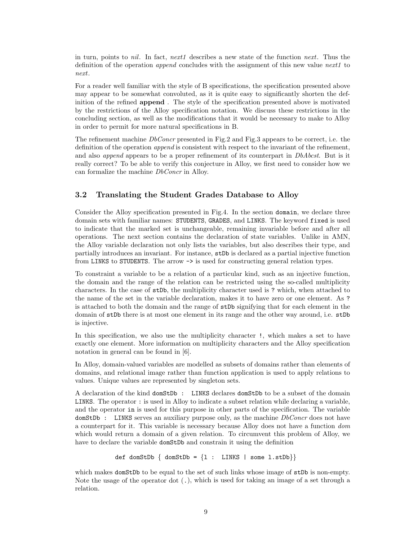in turn, points to *nil.* In fact, *next1* describes a new state of the function *next*. Thus the definition of the operation *append* concludes with the assignment of this new value *next1* to next.

For a reader well familiar with the style of B specifications, the specification presented above may appear to be somewhat convoluted, as it is quite easy to significantly shorten the definition of the refined append . The style of the specification presented above is motivated by the restrictions of the Alloy specification notation. We discuss these restrictions in the concluding section, as well as the modifications that it would be necessary to make to Alloy in order to permit for more natural specifications in B.

The refinement machine  $DbConcr$  presented in Fig.2 and Fig.3 appears to be correct, i.e. the definition of the operation *append* is consistent with respect to the invariant of the refinement, and also *append* appears to be a proper refinement of its counterpart in  $DbAbcst$ . But is it really correct? To be able to verify this conjecture in Alloy, we first need to consider how we can formalize the machine DbConcr in Alloy.

#### 3.2 Translating the Student Grades Database to Alloy

Consider the Alloy specification presented in Fig.4. In the section domain, we declare three domain sets with familiar names: STUDENTS, GRADES, and LINKS. The keyword fixed is used to indicate that the marked set is unchangeable, remaining invariable before and after all operations. The next section contains the declaration of state variables. Unlike in AMN, the Alloy variable declaration not only lists the variables, but also describes their type, and partially introduces an invariant. For instance, stDb is declared as a partial injective function from LINKS to STUDENTS. The arrow -> is used for constructing general relation types.

To constraint a variable to be a relation of a particular kind, such as an injective function, the domain and the range of the relation can be restricted using the so-called multiplicity characters. In the case of stDb, the multiplicity character used is ? which, when attached to the name of the set in the variable declaration, makes it to have zero or one element. As ? is attached to both the domain and the range of stDb signifying that for each element in the domain of stDb there is at most one element in its range and the other way around, i.e. stDb is injective.

In this specification, we also use the multiplicity character !, which makes a set to have exactly one element. More information on multiplicity characters and the Alloy specification notation in general can be found in [6].

In Alloy, domain-valued variables are modelled as subsets of domains rather than elements of domains, and relational image rather than function application is used to apply relations to values. Unique values are represented by singleton sets.

A declaration of the kind domStDb : LINKS declares domStDb to be a subset of the domain LINKS. The operator : is used in Alloy to indicate a subset relation while declaring a variable, and the operator in is used for this purpose in other parts of the specification. The variable  $domStDb$  : LINKS serves an auxiliary purpose only, as the machine  $DbConcr$  does not have a counterpart for it. This variable is necessary because Alloy does not have a function dom which would return a domain of a given relation. To circumvent this problem of Alloy, we have to declare the variable domStDb and constrain it using the definition

def domStDb  $\{ domStDb = \{1 : LINKS | some 1.stDb\} \}$ 

which makes **domStDb** to be equal to the set of such links whose image of  $\text{stDb}$  is non-empty. Note the usage of the operator dot  $(.)$ , which is used for taking an image of a set through a relation.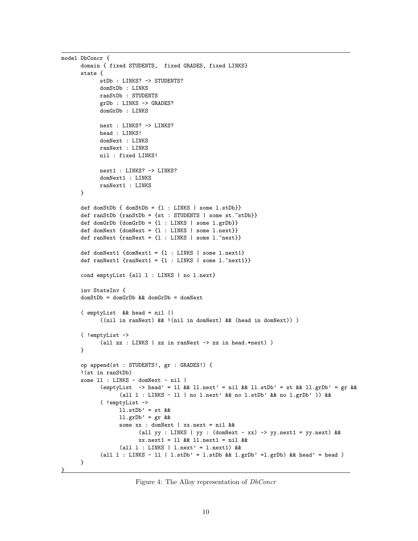```
model DbConcr {
      domain { fixed STUDENTS, fixed GRADES, fixed LINKS}
      state {
            stDb : LINKS? -> STUDENTS?
            domStDb : LINKS
            ranStDb : STUDENTS
            grDb : LINKS -> GRADES?
            domGrDb : LINKS
            next : LINKS? -> LINKS?
            head : LINKS!
            domNext : LINKS
            ranNext : LINKS
           nil : fixed LINKS!
            next1 : LINKS? -> LINKS?
            domNext1 : LINKS
            ranNext1 : LINKS
      }
      def domStDb { domStDb = \{1 : LINKS | some 1.stDb\}}
      def ranStDb {ranStDb = {st : STUDENTS | some st. "stDb}}
      def domGrDb {domGrDb = \{1 : LINKS \mid some 1.grDb\}}
      def domNext {domNext = {1 : LINKS | some l.next}}def ranNext \{rankext = \{1 : LINKS | some 1."next\}\}def domNext1 {domNext1 = {1 : LINKS | some 1.next1}}def ranNext1 {rank1 = {1 : LINKS | some 1."next1}}cond emptyList {all 1 : LINKS | no l.next}
      inv StateInv {
      domStDb = domGrDb && domGrDb = domNext
      ( emptyList && head = nil ||
            ((nil in ranNext) && !(nil in domNext) && (head in domNext)) )
      ( !emptyList ->
            (all zz : LINKS | zz in ranNext -> zz in head.*next) )
      }
      op append(st : STUDENTS!, gr : GRADES!) {
      !(st in ranStDb)
      some 11 : LINKS - domNext - nil |
            (emptyList \rightarrow head' = 11 && 11.next' = nil && 11.stDb' = st && 11.grDb' = gr &&
                  (all l : LINKS - ll | no l.next' && no l.stDb' && no l.grDb' )) &&
            ( !emptyList ->
                  lll.stDb' = st &&
                  11.grDb' = gr & &
                  some xx : domNext | xx.next = nil &&
                        (all yy : LINKS | yy : domNext - xx) -> yy.next1 = yy.next) &&
                        xx.next1 = ll && ll.next1 = nil &&
                  (all 1 : LINKS | 1.next' = 1.next1) &&
            (all 1: LINKS - 11 | 1.stDb' = 1.stDb && 1.grDb' = 1.grDb) && head' = head )
     }
```

```
Figure 4: The Alloy representation of DbConcr
```
}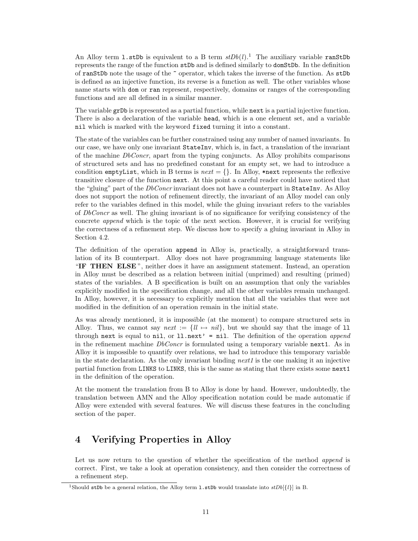An Alloy term 1.stDb is equivalent to a B term  $stDb(l)$ .<sup>1</sup> The auxiliary variable ranstDb represents the range of the function stDb and is defined similarly to domStDb. In the definition of ranStDb note the usage of the ~ operator, which takes the inverse of the function. As stDb is defined as an injective function, its reverse is a function as well. The other variables whose name starts with dom or ran represent, respectively, domains or ranges of the corresponding functions and are all defined in a similar manner.

The variable grDb is represented as a partial function, while next is a partial injective function. There is also a declaration of the variable head, which is a one element set, and a variable nil which is marked with the keyword fixed turning it into a constant.

The state of the variables can be further constrained using any number of named invariants. In our case, we have only one invariant StateInv, which is, in fact, a translation of the invariant of the machine *DbConcr*, apart from the typing conjuncts. As Alloy prohibits comparisons of structured sets and has no predefined constant for an empty set, we had to introduce a condition emptyList, which in B terms is  $next = \{\}$ . In Alloy, \*next represents the reflexive transitive closure of the function next. At this point a careful reader could have noticed that the "gluing" part of the  $DbConcr$  invariant does not have a counterpart in StateInv. As Alloy does not support the notion of refinement directly, the invariant of an Alloy model can only refer to the variables defined in this model, while the gluing invariant refers to the variables of  $DbConcr$  as well. The gluing invariant is of no significance for verifying consistency of the concrete append which is the topic of the next section. However, it is crucial for verifying the correctness of a refinement step. We discuss how to specify a gluing invariant in Alloy in Section 4.2.

The definition of the operation append in Alloy is, practically, a straightforward translation of its B counterpart. Alloy does not have programming language statements like "IF THEN ELSE ", neither does it have an assignment statement. Instead, an operation in Alloy must be described as a relation between initial (unprimed) and resulting (primed) states of the variables. A B specification is built on an assumption that only the variables explicitly modified in the specification change, and all the other variables remain unchanged. In Alloy, however, it is necessary to explicitly mention that all the variables that were not modified in the definition of an operation remain in the initial state.

As was already mentioned, it is impossible (at the moment) to compare structured sets in Alloy. Thus, we cannot say  $next := \{ll \mapsto nil\}$ , but we should say that the image of 11 through next is equal to nil, or  $11.next' = nil$ . The definition of the operation append in the refinement machine  $DbConcr$  is formulated using a temporary variable next1. As in Alloy it is impossible to quantify over relations, we had to introduce this temporary variable in the state declaration. As the only invariant binding  $next1$  is the one making it an injective partial function from LINKS to LINKS, this is the same as stating that there exists some next1 in the definition of the operation.

At the moment the translation from B to Alloy is done by hand. However, undoubtedly, the translation between AMN and the Alloy specification notation could be made automatic if Alloy were extended with several features. We will discuss these features in the concluding section of the paper.

## 4 Verifying Properties in Alloy

Let us now return to the question of whether the specification of the method *append* is correct. First, we take a look at operation consistency, and then consider the correctness of a refinement step.

<sup>&</sup>lt;sup>1</sup>Should stDb be a general relation, the Alloy term 1.stDb would translate into  $stDb\{l\}$  in B.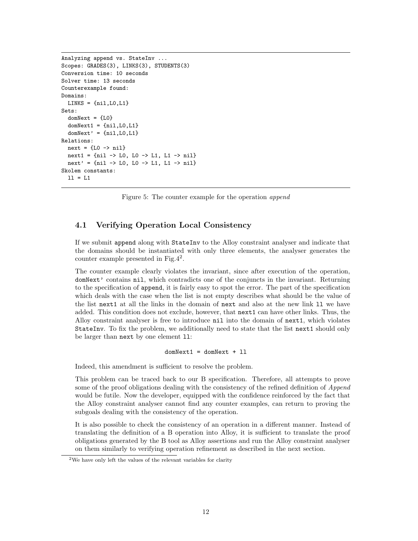```
Analyzing append vs. StateInv ...
Scopes: GRADES(3), LINKS(3), STUDENTS(3)
Conversion time: 10 seconds
Solver time: 13 seconds
Counterexample found:
Domains:
  LINKS = \{nil, L0, L1\}Sets:
  domNext = \{L0\}domNext1 = \{nil, L0, L1\}domNext' = \{nil, L0, L1\}Relations:
  next = \{L0 \rightarrow nil\}next1 = {nil -> L0, L0 -> L1, L1 -> nil}
  next' = \{nil \rightarrow L0, L0 \rightarrow L1, L1 \rightarrow nil\}Skolem constants:
  ll = L1
```
Figure 5: The counter example for the operation append

#### 4.1 Verifying Operation Local Consistency

If we submit append along with StateInv to the Alloy constraint analyser and indicate that the domains should be instantiated with only three elements, the analyser generates the counter example presented in Fig. $4^2$ .

The counter example clearly violates the invariant, since after execution of the operation, domNext' contains nil, which contradicts one of the conjuncts in the invariant. Returning to the specification of append, it is fairly easy to spot the error. The part of the specification which deals with the case when the list is not empty describes what should be the value of the list next1 at all the links in the domain of next and also at the new link ll we have added. This condition does not exclude, however, that next1 can have other links. Thus, the Alloy constraint analyser is free to introduce nil into the domain of next1, which violates StateInv. To fix the problem, we additionally need to state that the list next1 should only be larger than next by one element ll:

 $domNext1 = domNext + 11$ 

Indeed, this amendment is sufficient to resolve the problem.

This problem can be traced back to our B specification. Therefore, all attempts to prove some of the proof obligations dealing with the consistency of the refined definition of *Append* would be futile. Now the developer, equipped with the confidence reinforced by the fact that the Alloy constraint analyser cannot find any counter examples, can return to proving the subgoals dealing with the consistency of the operation.

It is also possible to check the consistency of an operation in a different manner. Instead of translating the definition of a B operation into Alloy, it is sufficient to translate the proof obligations generated by the B tool as Alloy assertions and run the Alloy constraint analyser on them similarly to verifying operation refinement as described in the next section.

<sup>2</sup>We have only left the values of the relevant variables for clarity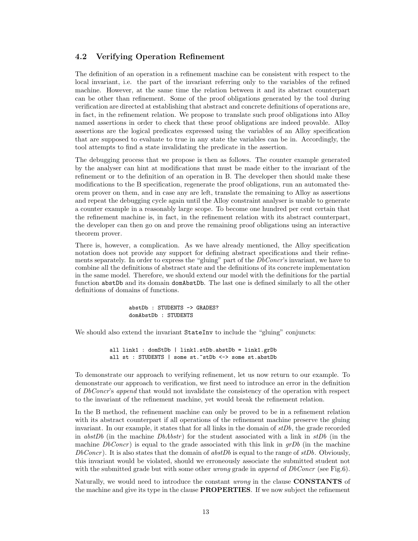#### 4.2 Verifying Operation Refinement

The definition of an operation in a refinement machine can be consistent with respect to the local invariant, i.e. the part of the invariant referring only to the variables of the refined machine. However, at the same time the relation between it and its abstract counterpart can be other than refinement. Some of the proof obligations generated by the tool during verification are directed at establishing that abstract and concrete definitions of operations are, in fact, in the refinement relation. We propose to translate such proof obligations into Alloy named assertions in order to check that these proof obligations are indeed provable. Alloy assertions are the logical predicates expressed using the variables of an Alloy specification that are supposed to evaluate to true in any state the variables can be in. Accordingly, the tool attempts to find a state invalidating the predicate in the assertion.

The debugging process that we propose is then as follows. The counter example generated by the analyser can hint at modifications that must be made either to the invariant of the refinement or to the definition of an operation in B. The developer then should make these modifications to the B specification, regenerate the proof obligations, run an automated theorem prover on them, and in case any are left, translate the remaining to Alloy as assertions and repeat the debugging cycle again until the Alloy constraint analyser is unable to generate a counter example in a reasonably large scope. To become one hundred per cent certain that the refinement machine is, in fact, in the refinement relation with its abstract counterpart, the developer can then go on and prove the remaining proof obligations using an interactive theorem prover.

There is, however, a complication. As we have already mentioned, the Alloy specification notation does not provide any support for defining abstract specifications and their refinements separately. In order to express the "gluing" part of the *DbConcr*'s invariant, we have to combine all the definitions of abstract state and the definitions of its concrete implementation in the same model. Therefore, we should extend our model with the definitions for the partial function abstDb and its domain domAbstDb. The last one is defined similarly to all the other definitions of domains of functions.

```
abstDb : STUDENTS -> GRADES?
domAbstDb : STUDENTS
```
We should also extend the invariant  $StateInv$  to include the "gluing" conjuncts:

all link1 : domStDb | link1.stDb.abstDb = link1.grDb all st : STUDENTS | some st.~stDb <-> some st.abstDb

To demonstrate our approach to verifying refinement, let us now return to our example. To demonstrate our approach to verification, we first need to introduce an error in the definition of DbConcr's append that would not invalidate the consistency of the operation with respect to the invariant of the refinement machine, yet would break the refinement relation.

In the B method, the refinement machine can only be proved to be in a refinement relation with its abstract counterpart if all operations of the refinement machine preserve the gluing invariant. In our example, it states that for all links in the domain of  $\mathfrak{s}tDb$ , the grade recorded in abstDb (in the machine  $DbAbstr$ ) for the student associated with a link in  $stDb$  (in the machine  $DbConcr$ ) is equal to the grade associated with this link in  $qrDb$  (in the machine  $DbConcr$ ). It is also states that the domain of abstDb is equal to the range of stDb. Obviously, this invariant would be violated, should we erroneously associate the submitted student not with the submitted grade but with some other *wrong* grade in *append* of  $DbConcr$  (see Fig.6).

Naturally, we would need to introduce the constant wrong in the clause CONSTANTS of the machine and give its type in the clause **PROPERTIES**. If we now subject the refinement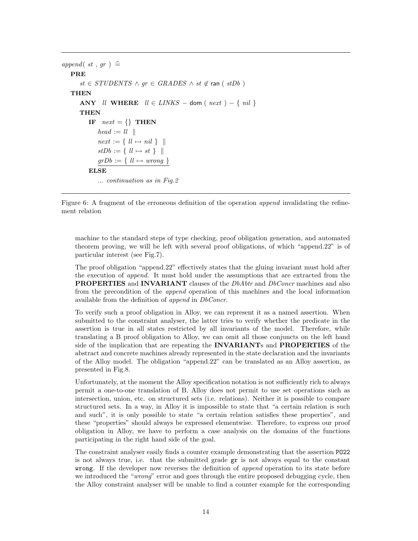```
append(st, gr) \widehat{=}PRE
       st \in STUDENTS \wedge gr \in GRADES \wedge st \notin ran(\ stDb)THEN
       ANY ll WHERE ll \in LINKS – dom (next) – { nil }
       THEN
          IF next = \{\} THEN
              head := ll ||
              next := \{ ll \mapsto nil \} \parallelstDb := \{ \llbracket l \mapsto st \rrbracket \} \parallelgrDb := \{ \llbracket ll \mapsto wrong \}ELSE
              ... continuation as in Fig.2
```
Figure 6: A fragment of the erroneous definition of the operation *append* invalidating the refinement relation

machine to the standard steps of type checking, proof obligation generation, and automated theorem proving, we will be left with several proof obligations, of which "append.22" is of particular interest (see Fig.7).

The proof obligation "append.22" effectively states that the gluing invariant must hold after the execution of append. It must hold under the assumptions that are extracted from the **PROPERTIES** and **INVARIANT** clauses of the *DbAbtr* and *DbConcr* machines and also from the precondition of the append operation of this machines and the local information available from the definition of append in DbConcr.

To verify such a proof obligation in Alloy, we can represent it as a named assertion. When submitted to the constraint analyser, the latter tries to verify whether the predicate in the assertion is true in all states restricted by all invariants of the model. Therefore, while translating a B proof obligation to Alloy, we can omit all those conjuncts on the left hand side of the implication that are repeating the **INVARIANT**s and **PROPERTIES** of the abstract and concrete machines already represented in the state declaration and the invariants of the Alloy model. The obligation "append.22" can be translated as an Alloy assertion, as presented in Fig.8.

Unfortunately, at the moment the Alloy specification notation is not sufficiently rich to always permit a one-to-one translation of B. Alloy does not permit to use set operations such as intersection, union, etc. on structured sets (i.e. relations). Neither it is possible to compare structured sets. In a way, in Alloy it is impossible to state that "a certain relation is such and such", it is only possible to state "a certain relation satisfies these properties", and these "properties" should always be expressed elementwise. Therefore, to express our proof obligation in Alloy, we have to perform a case analysis on the domains of the functions participating in the right hand side of the goal.

The constraint analyser easily finds a counter example demonstrating that the assertion PO22 is not always true, i.e. that the submitted grade  $gr$  is not always equal to the constant wrong. If the developer now reverses the definition of *append* operation to its state before we introduced the "*wrong*" error and goes through the entire proposed debugging cycle, then the Alloy constraint analyser will be unable to find a counter example for the corresponding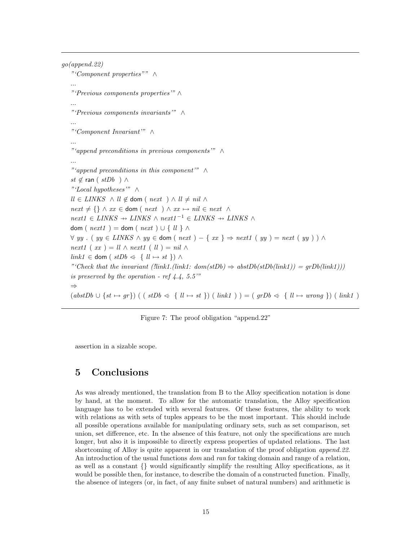```
go(append.22)
    "'Component properties"" ∧
    ...
    "'Previous components properties'" ∧
    ...
    "'Previous components invariants'" ∧
    ...
    "'Component Invariant'" ∧
    ...
    "'append preconditions in previous components'" ∧
    ...
    "'append preconditions in this component'" \wedgest ∉ ran ( stDb ) \land"'Local hypotheses'" ∧
   ll \in LINKS \land ll \notin \text{dom}( next) \land ll \neq nil \landnext \neq \{\}\land xx \in \text{dom}(next) \land xx \mapsto nil \in next \landnext1 \in LINKS \rightarrow LINKS \land next1^{-1} \in LINKS \rightarrow LINKS \landdom ( next1 ) = dom ( next ) ∪ { ll } \wedge\forall yy. ( yy ∈ LINKS \land yy ∈ dom ( next ) – { xx } \Rightarrow next1 ( yy ) = next ( yy )) \landnext1 (xx) = ll \wedge next1 (ll) = nil \wedgelink1 \in dom ( stDb \Leftrightarrow { ll \mapsto st }) ∧
    "'Check that the invariant (\text{link1.}(\text{link1.}(\text{link1}) \geq \text{abstDb}(\text{stab}(tanh))) = \text{grDb}(\text{link1})))
    is preserved by the operation - ref 4.4, 5.5'"
   ⇒
   (abstDb \cup \{st \mapsto gr\}) ( (stDb \Leftrightarrow \{ll \cup \rightarrow st \}) ( link1 ) ) = ( grDb \Leftrightarrow \{ll \cup \rightarrow wrong \}) ( link1 )
```
Figure 7: The proof obligation "append.22"

assertion in a sizable scope.

## 5 Conclusions

As was already mentioned, the translation from B to the Alloy specification notation is done by hand, at the moment. To allow for the automatic translation, the Alloy specification language has to be extended with several features. Of these features, the ability to work with relations as with sets of tuples appears to be the most important. This should include all possible operations available for manipulating ordinary sets, such as set comparison, set union, set difference, etc. In the absence of this feature, not only the specifications are much longer, but also it is impossible to directly express properties of updated relations. The last shortcoming of Alloy is quite apparent in our translation of the proof obligation *append.22*. An introduction of the usual functions *dom* and ran for taking domain and range of a relation, as well as a constant  $\{\}\$  would significantly simplify the resulting Alloy specifications, as it would be possible then, for instance, to describe the domain of a constructed function. Finally, the absence of integers (or, in fact, of any finite subset of natural numbers) and arithmetic is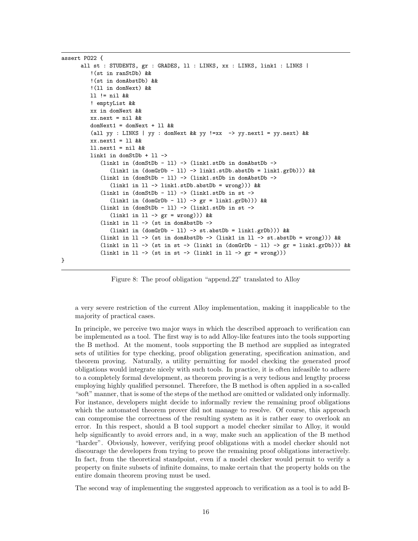```
assert PO22 {
      all st : STUDENTS, gr : GRADES, ll : LINKS, xx : LINKS, link1 : LINKS |
          !(st in ranStDb) &&
          !(st in domAbstDb) &&
          !(ll in domNext) &&
          ll != nil &&
          ! emptyList &&
          xx in domNext &&
          xx.next = nil & &
          domNext1 = domNext + 11 &&
          (all yy : LINKS | yy : domNext && yy !=xx -> yy.next1 = yy.next) &&
          xx.next1 = 11 & &
          11.next1 = nil &&
          link1 in domStDb + ll ->
              (link1 in (domStDb - 11) -> (link1.stDb in domAbstDb ->
                 (link1 in (domGrDb - 11) \rightarrow link1.stDb.abstDb = link1.grDb))) &&
              (link1 in (domStDb - 11) \rightarrow (link1.stDb in domAbstDb ->(link1 in ll -> link1.stDb.abstDb = wrong))) &&
              (link1 in (domStDb - 11) -> (link1.stDb in st ->
                 (link1 in (domGrDb - 11) \rightarrow gr = link1.grDb)) &&
              (link1 in (domStDb - 11) -> (link1.stDb in st ->
                 (link1 in 11 \rightarrow gr = wrong))) &&
              (link1 in 11 \rightarrow (st in domAbstDb \rightarrow(link1 in (domGrDb - ll) -> st.abstDb = link1.grDb))) &&
              (link1 in ll \rightarrow (st in domAbstDb \rightarrow (link1 in ll \rightarrow st.abstDb = wrong))) &&
              (link1 in 11 \rightarrow (st in st \rightarrow (link1 in (domGrDb - 11) \rightarrow gr = link1.grDb))) &&
              (link1 in 11 \rightarrow (st in st \rightarrow (link1 in 11 \rightarrow gr = wrong)))
}
```
Figure 8: The proof obligation "append.22" translated to Alloy

a very severe restriction of the current Alloy implementation, making it inapplicable to the majority of practical cases.

In principle, we perceive two major ways in which the described approach to verification can be implemented as a tool. The first way is to add Alloy-like features into the tools supporting the B method. At the moment, tools supporting the B method are supplied as integrated sets of utilities for type checking, proof obligation generating, specification animation, and theorem proving. Naturally, a utility permitting for model checking the generated proof obligations would integrate nicely with such tools. In practice, it is often infeasible to adhere to a completely formal development, as theorem proving is a very tedious and lengthy process employing highly qualified personnel. Therefore, the B method is often applied in a so-called "soft" manner, that is some of the steps of the method are omitted or validated only informally. For instance, developers might decide to informally review the remaining proof obligations which the automated theorem prover did not manage to resolve. Of course, this approach can compromise the correctness of the resulting system as it is rather easy to overlook an error. In this respect, should a B tool support a model checker similar to Alloy, it would help significantly to avoid errors and, in a way, make such an application of the B method "harder". Obviously, however, verifying proof obligations with a model checker should not discourage the developers from trying to prove the remaining proof obligations interactively. In fact, from the theoretical standpoint, even if a model checker would permit to verify a property on finite subsets of infinite domains, to make certain that the property holds on the entire domain theorem proving must be used.

The second way of implementing the suggested approach to verification as a tool is to add B-